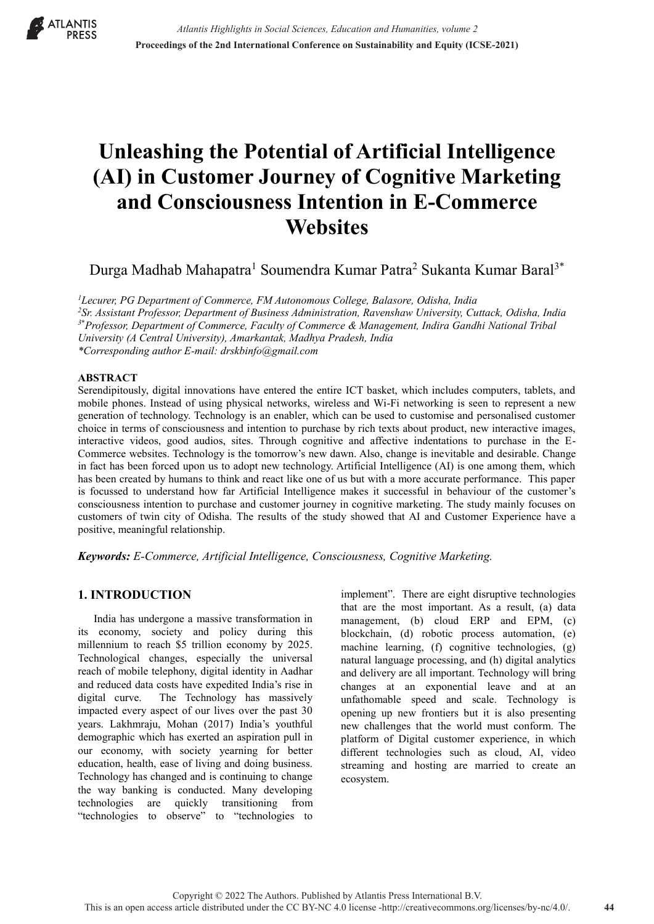

# **Unleashing the Potential of Artificial Intelligence (AI) in Customer Journey of Cognitive Marketing and Consciousness Intention in E-Commerce Websites**

Durga Madhab Mahapatra<sup>1</sup> Soumendra Kumar Patra<sup>2</sup> Sukanta Kumar Baral<sup>3\*</sup>

*1 Lecurer, PG Department of Commerce, FM Autonomous College, Balasore, Odisha, India 2 Sr. Assistant Professor, Department of Business Administration, Ravenshaw University, Cuttack, Odisha, India 3***\*** *Professor, Department of Commerce, Faculty of Commerce & Management, Indira Gandhi National Tribal University (A Central University), Amarkantak, Madhya Pradesh, India \*Corresponding author E-mail: drskbinfo@gmail.com*

#### **ABSTRACT**

Serendipitously, digital innovations have entered the entire ICT basket, which includes computers, tablets, and mobile phones. Instead of using physical networks, wireless and Wi-Fi networking is seen to represent a new generation of technology. Technology is an enabler, which can be used to customise and personalised customer choice in terms of consciousness and intention to purchase by rich texts about product, new interactive images, interactive videos, good audios, sites. Through cognitive and affective indentations to purchase in the E-Commerce websites. Technology is the tomorrow's new dawn. Also, change is inevitable and desirable. Change in fact has been forced upon us to adopt new technology. Artificial Intelligence (AI) is one among them, which has been created by humans to think and react like one of us but with a more accurate performance. This paper is focussed to understand how far Artificial Intelligence makes it successful in behaviour of the customer's consciousness intention to purchase and customer journey in cognitive marketing. The study mainly focuses on customers of twin city of Odisha. The results of the study showed that AI and Customer Experience have a positive, meaningful relationship.

*Keywords: E-Commerce, Artificial Intelligence, Consciousness, Cognitive Marketing.*

## **1. INTRODUCTION**

India has undergone a massive transformation in its economy, society and policy during this millennium to reach \$5 trillion economy by 2025. Technological changes, especially the universal reach of mobile telephony, digital identity in Aadhar and reduced data costs have expedited India's rise in digital curve. The Technology has massively impacted every aspect of our lives over the past 30 years. Lakhmraju, Mohan (2017) India's youthful demographic which has exerted an aspiration pull in our economy, with society yearning for better education, health, ease of living and doing business. Technology has changed and is continuing to change the way banking is conducted. Many developing technologies are quickly transitioning from "technologies to observe" to "technologies to

implement". There are eight disruptive technologies that are the most important. As a result, (a) data management, (b) cloud ERP and EPM, (c) blockchain, (d) robotic process automation, (e) machine learning, (f) cognitive technologies, (g) natural language processing, and (h) digital analytics and delivery are all important. Technology will bring changes at an exponential leave and at an unfathomable speed and scale. Technology is opening up new frontiers but it is also presenting new challenges that the world must conform. The platform of Digital customer experience, in which different technologies such as cloud, AI, video streaming and hosting are married to create an ecosystem.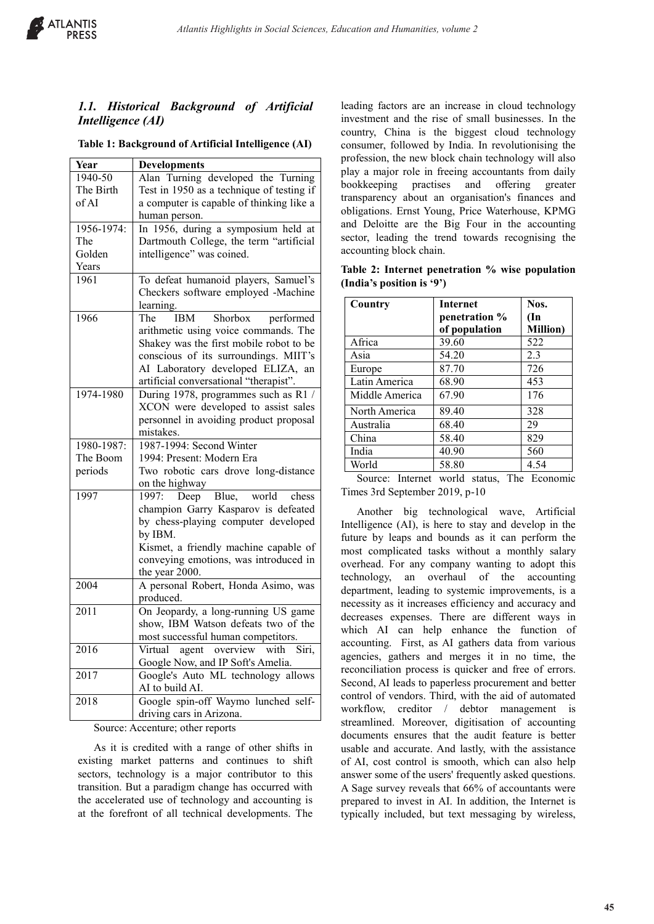

# *1.1. Historical Background of Artificial Intelligence (AI)*

| Table 1: Background of Artificial Intelligence (AI) |  |  |
|-----------------------------------------------------|--|--|
|                                                     |  |  |

| Year       | <b>Developments</b>                       |
|------------|-------------------------------------------|
| 1940-50    | Alan Turning developed the Turning        |
| The Birth  | Test in 1950 as a technique of testing if |
| of AI      | a computer is capable of thinking like a  |
|            | human person.                             |
| 1956-1974: | In 1956, during a symposium held at       |
| The        | Dartmouth College, the term "artificial   |
| Golden     | intelligence" was coined.                 |
| Years      |                                           |
| 1961       | To defeat humanoid players, Samuel's      |
|            | Checkers software employed -Machine       |
|            | learning.                                 |
| 1966       | Shorbox performed<br>The<br>IBM           |
|            | arithmetic using voice commands. The      |
|            | Shakey was the first mobile robot to be   |
|            | conscious of its surroundings. MIIT's     |
|            | AI Laboratory developed ELIZA,<br>an      |
|            | artificial conversational "therapist".    |
| 1974-1980  | During 1978, programmes such as R1 /      |
|            | XCON were developed to assist sales       |
|            | personnel in avoiding product proposal    |
|            | mistakes.                                 |
| 1980-1987: | 1987-1994: Second Winter                  |
| The Boom   | 1994: Present: Modern Era                 |
| periods    | Two robotic cars drove long-distance      |
|            | on the highway                            |
| 1997       | Blue,<br>world chess<br>1997: Deep        |
|            | champion Garry Kasparov is defeated       |
|            | by chess-playing computer developed       |
|            | by IBM.                                   |
|            | Kismet, a friendly machine capable of     |
|            | conveying emotions, was introduced in     |
|            | the year 2000.                            |
| 2004       | A personal Robert, Honda Asimo, was       |
|            | produced.                                 |
| 2011       | On Jeopardy, a long-running US game       |
|            | show, IBM Watson defeats two of the       |
|            | most successful human competitors.        |
| 2016       | Virtual agent overview with<br>Siri,      |
|            | Google Now, and IP Soft's Amelia.         |
| 2017       | Google's Auto ML technology allows        |
|            | AI to build AI.                           |
| 2018       | Google spin-off Waymo lunched self-       |
|            | driving cars in Arizona.                  |
|            |                                           |

Source: Accenture; other reports

As it is credited with a range of other shifts in existing market patterns and continues to shift sectors, technology is a major contributor to this transition. But a paradigm change has occurred with the accelerated use of technology and accounting is at the forefront of all technical developments. The leading factors are an increase in cloud technology investment and the rise of small businesses. In the country, China is the biggest cloud technology consumer, followed by India. In revolutionising the profession, the new block chain technology will also play a major role in freeing accountants from daily bookkeeping practises and offering greater transparency about an organisation's finances and obligations. Ernst Young, Price Waterhouse, KPMG and Deloitte are the Big Four in the accounting sector, leading the trend towards recognising the accounting block chain.

|                           | Table 2: Internet penetration % wise population |  |  |
|---------------------------|-------------------------------------------------|--|--|
| (India's position is '9') |                                                 |  |  |

| Country        | <b>Internet</b> | Nos.             |
|----------------|-----------------|------------------|
|                | penetration %   | $(\mathbf{In}$   |
|                | of population   | <b>Million</b> ) |
| Africa         | 39.60           | 522              |
| Asia           | 54.20           | 2.3              |
| Europe         | 87.70           | 726              |
| Latin America  | 68.90           | 453              |
| Middle America | 67.90           | 176              |
| North America  | 89.40           | 328              |
| Australia      | 68.40           | 29               |
| China          | 58.40           | 829              |
| India          | 40.90           | 560              |
| World          | 58.80           | 4.54             |

Source: Internet world status, The Economic Times 3rd September 2019, p-10

Another big technological wave, Artificial Intelligence (AI), is here to stay and develop in the future by leaps and bounds as it can perform the most complicated tasks without a monthly salary overhead. For any company wanting to adopt this technology, an overhaul of the accounting department, leading to systemic improvements, is a necessity as it increases efficiency and accuracy and decreases expenses. There are different ways in which AI can help enhance the function of accounting. First, as AI gathers data from various agencies, gathers and merges it in no time, the reconciliation process is quicker and free of errors. Second, AI leads to paperless procurement and better control of vendors. Third, with the aid of automated workflow, creditor / debtor management is streamlined. Moreover, digitisation of accounting documents ensures that the audit feature is better usable and accurate. And lastly, with the assistance of AI, cost control is smooth, which can also help answer some of the users' frequently asked questions. A Sage survey reveals that 66% of accountants were prepared to invest in AI. In addition, the Internet is typically included, but text messaging by wireless,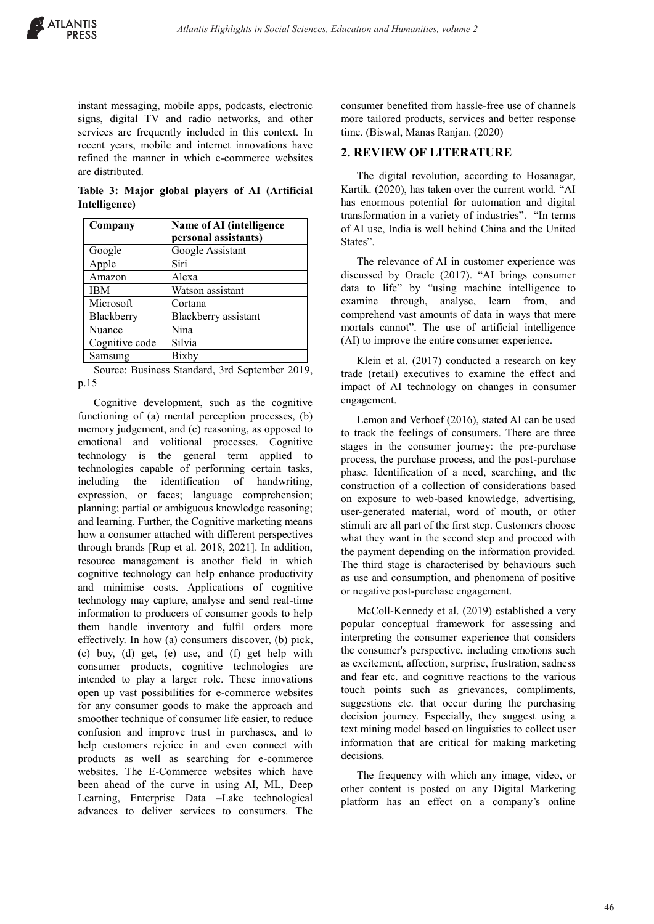

instant messaging, mobile apps, podcasts, electronic signs, digital TV and radio networks, and other services are frequently included in this context. In recent years, mobile and internet innovations have refined the manner in which e-commerce websites are distributed.

**Table 3: Major global players of AI (Artificial Intelligence)**

| Company        | Name of AI (intelligence<br>personal assistants) |
|----------------|--------------------------------------------------|
| Google         | Google Assistant                                 |
| Apple          | Siri                                             |
| Amazon         | Alexa                                            |
| <b>IBM</b>     | Watson assistant                                 |
| Microsoft      | Cortana                                          |
| Blackberry     | Blackberry assistant                             |
| Nuance         | Nina                                             |
| Cognitive code | Silvia                                           |
| Samsung        | Bixby                                            |

Source: Business Standard, 3rd September 2019, p.15

Cognitive development, such as the cognitive functioning of (a) mental perception processes, (b) memory judgement, and (c) reasoning, as opposed to emotional and volitional processes. Cognitive technology is the general term applied to technologies capable of performing certain tasks, including the identification of handwriting, expression, or faces; language comprehension; planning; partial or ambiguous knowledge reasoning; and learning. Further, the Cognitive marketing means how a consumer attached with different perspectives through brands [Rup et al. 2018, 2021]. In addition, resource management is another field in which cognitive technology can help enhance productivity and minimise costs. Applications of cognitive technology may capture, analyse and send real-time information to producers of consumer goods to help them handle inventory and fulfil orders more effectively. In how (a) consumers discover, (b) pick, (c) buy, (d) get, (e) use, and (f) get help with consumer products, cognitive technologies are intended to play a larger role. These innovations open up vast possibilities for e-commerce websites for any consumer goods to make the approach and smoother technique of consumer life easier, to reduce confusion and improve trust in purchases, and to help customers rejoice in and even connect with products as well as searching for e-commerce websites. The E-Commerce websites which have been ahead of the curve in using AI, ML, Deep Learning, Enterprise Data –Lake technological advances to deliver services to consumers. The

consumer benefited from hassle-free use of channels more tailored products, services and better response time. (Biswal, Manas Ranjan. (2020)

### **2. REVIEW OF LITERATURE**

The digital revolution, according to Hosanagar, Kartik. (2020), has taken over the current world. "AI has enormous potential for automation and digital transformation in a variety of industries". "In terms of AI use, India is well behind China and the United States".

The relevance of AI in customer experience was discussed by Oracle (2017). "AI brings consumer data to life" by "using machine intelligence to examine through, analyse, learn from, and comprehend vast amounts of data in ways that mere mortals cannot". The use of artificial intelligence (AI) to improve the entire consumer experience.

Klein et al. (2017) conducted a research on key trade (retail) executives to examine the effect and impact of AI technology on changes in consumer engagement.

Lemon and Verhoef (2016), stated AI can be used to track the feelings of consumers. There are three stages in the consumer journey: the pre-purchase process, the purchase process, and the post-purchase phase. Identification of a need, searching, and the construction of a collection of considerations based on exposure to web-based knowledge, advertising, user-generated material, word of mouth, or other stimuli are all part of the first step. Customers choose what they want in the second step and proceed with the payment depending on the information provided. The third stage is characterised by behaviours such as use and consumption, and phenomena of positive or negative post-purchase engagement.

McColl-Kennedy et al. (2019) established a very popular conceptual framework for assessing and interpreting the consumer experience that considers the consumer's perspective, including emotions such as excitement, affection, surprise, frustration, sadness and fear etc. and cognitive reactions to the various touch points such as grievances, compliments, suggestions etc. that occur during the purchasing decision journey. Especially, they suggest using a text mining model based on linguistics to collect user information that are critical for making marketing decisions.

The frequency with which any image, video, or other content is posted on any Digital Marketing platform has an effect on a company's online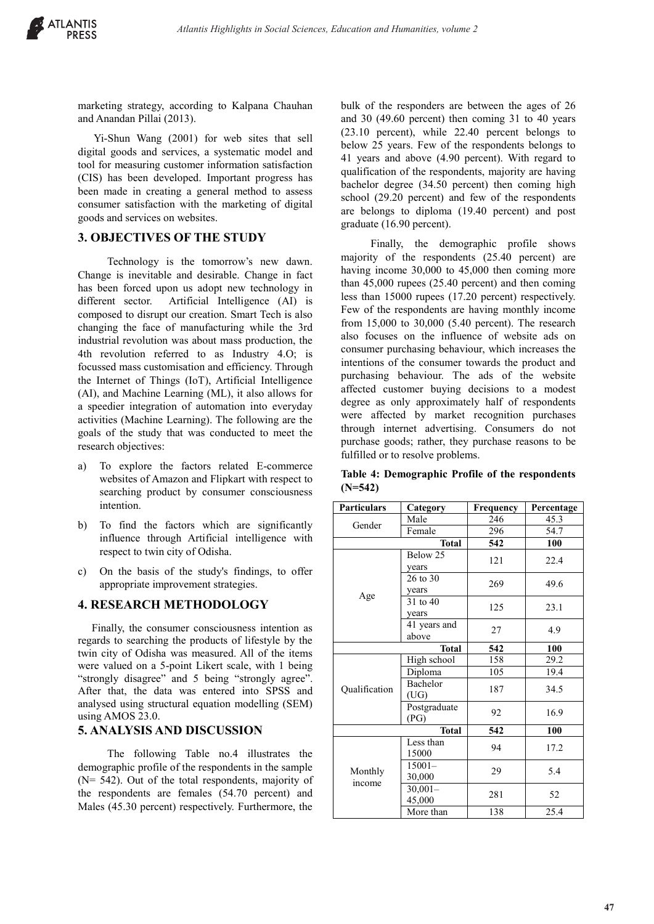marketing strategy, according to Kalpana Chauhan and Anandan Pillai (2013).

Yi-Shun Wang (2001) for web sites that sell digital goods and services, a systematic model and tool for measuring customer information satisfaction (CIS) has been developed. Important progress has been made in creating a general method to assess consumer satisfaction with the marketing of digital goods and services on websites.

#### **3. OBJECTIVES OF THE STUDY**

 Technology is the tomorrow's new dawn. Change is inevitable and desirable. Change in fact has been forced upon us adopt new technology in different sector. Artificial Intelligence (AI) is composed to disrupt our creation. Smart Tech is also changing the face of manufacturing while the 3rd industrial revolution was about mass production, the 4th revolution referred to as Industry 4.O; is focussed mass customisation and efficiency. Through the Internet of Things (IoT), Artificial Intelligence (AI), and Machine Learning (ML), it also allows for a speedier integration of automation into everyday activities (Machine Learning). The following are the goals of the study that was conducted to meet the research objectives:

- a) To explore the factors related E-commerce websites of Amazon and Flipkart with respect to searching product by consumer consciousness intention.
- b) To find the factors which are significantly influence through Artificial intelligence with respect to twin city of Odisha.
- c) On the basis of the study's findings, to offer appropriate improvement strategies.

#### **4. RESEARCH METHODOLOGY**

 Finally, the consumer consciousness intention as regards to searching the products of lifestyle by the twin city of Odisha was measured. All of the items were valued on a 5-point Likert scale, with 1 being "strongly disagree" and 5 being "strongly agree". After that, the data was entered into SPSS and analysed using structural equation modelling (SEM) using AMOS 23.0.

#### **5. ANALYSIS AND DISCUSSION**

 The following Table no.4 illustrates the demographic profile of the respondents in the sample (N= 542). Out of the total respondents, majority of the respondents are females (54.70 percent) and Males (45.30 percent) respectively. Furthermore, the

bulk of the responders are between the ages of 26 and 30 (49.60 percent) then coming 31 to 40 years (23.10 percent), while 22.40 percent belongs to below 25 years. Few of the respondents belongs to 41 years and above (4.90 percent). With regard to qualification of the respondents, majority are having bachelor degree (34.50 percent) then coming high school (29.20 percent) and few of the respondents are belongs to diploma (19.40 percent) and post graduate (16.90 percent).

 Finally, the demographic profile shows majority of the respondents (25.40 percent) are having income 30,000 to 45,000 then coming more than 45,000 rupees (25.40 percent) and then coming less than 15000 rupees (17.20 percent) respectively. Few of the respondents are having monthly income from 15,000 to 30,000 (5.40 percent). The research also focuses on the influence of website ads on consumer purchasing behaviour, which increases the intentions of the consumer towards the product and purchasing behaviour. The ads of the website affected customer buying decisions to a modest degree as only approximately half of respondents were affected by market recognition purchases through internet advertising. Consumers do not purchase goods; rather, they purchase reasons to be fulfilled or to resolve problems.

**Table 4: Demographic Profile of the respondents (N=542)**

| <b>Particulars</b> | Category            | Frequency | Percentage |  |
|--------------------|---------------------|-----------|------------|--|
| Gender             | Male                | 246       | 45.3       |  |
|                    | Female              | 296       | 54.7       |  |
|                    | <b>Total</b>        | 542       | 100        |  |
|                    | Below $25$          | 121       | 22.4       |  |
|                    | years               |           |            |  |
|                    | $26$ to $30$        | 269       | 49.6       |  |
| Age                | years               |           |            |  |
|                    | 31 to 40            | 125       | 23.1       |  |
|                    | years               |           |            |  |
|                    | 41 years and        | 27        | 4.9        |  |
|                    | above               |           |            |  |
|                    | <b>Total</b>        | 542       | 100        |  |
|                    | High school         | 158       | 29.2       |  |
|                    | Diploma             | 105       | 19.4       |  |
| Qualification      | Bachelor            | 187       | 34.5       |  |
|                    | (UG)                |           |            |  |
|                    | Postgraduate        | 92        | 16.9       |  |
|                    | (PG)                |           |            |  |
|                    | <b>Total</b>        | 542       | 100        |  |
|                    | Less than<br>15000  | 94        | 17.2       |  |
|                    | $15001 -$           |           |            |  |
| Monthly<br>income  |                     | 29        | 5.4        |  |
|                    | 30,000              |           |            |  |
|                    | $30,001-$<br>45,000 | 281       | 52         |  |
|                    | More than           | 138       | 25.4       |  |
|                    |                     |           |            |  |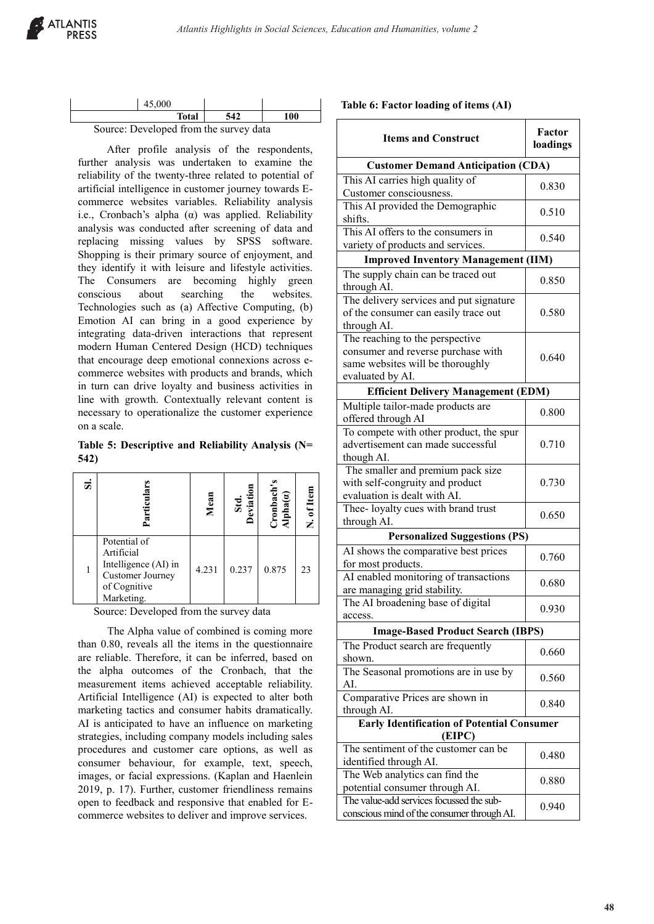| 45,000                                 |     |     |
|----------------------------------------|-----|-----|
| Total                                  | 542 | 100 |
| Source: Developed from the survey data |     |     |

 After profile analysis of the respondents, further analysis was undertaken to examine the reliability of the twenty-three related to potential of artificial intelligence in customer journey towards Ecommerce websites variables. Reliability analysis i.e., Cronbach's alpha  $(\alpha)$  was applied. Reliability analysis was conducted after screening of data and replacing missing values by SPSS software. Shopping is their primary source of enjoyment, and they identify it with leisure and lifestyle activities. The Consumers are becoming highly green conscious about searching the websites. Technologies such as (a) Affective Computing, (b) Emotion AI can bring in a good experience by integrating data-driven interactions that represent modern Human Centered Design (HCD) techniques that encourage deep emotional connexions across ecommerce websites with products and brands, which in turn can drive loyalty and business activities in line with growth. Contextually relevant content is necessary to operationalize the customer experience on a scale.

**Table 5: Descriptive and Reliability Analysis (N= 542)**

| ದ | Partici                                                                                              | Mean  | Std.<br>eviati | $C$ ronbach's<br>Alpha $(a)$ | N. of Item |
|---|------------------------------------------------------------------------------------------------------|-------|----------------|------------------------------|------------|
|   | Potential of<br>Artificial<br>Intelligence (AI) in<br>Customer Journey<br>of Cognitive<br>Marketing. | 4.231 | 0.237          | 0.875                        | 23         |

Source: Developed from the survey data

 The Alpha value of combined is coming more than 0.80, reveals all the items in the questionnaire are reliable. Therefore, it can be inferred, based on the alpha outcomes of the Cronbach, that the measurement items achieved acceptable reliability. Artificial Intelligence (AI) is expected to alter both marketing tactics and consumer habits dramatically. AI is anticipated to have an influence on marketing strategies, including company models including sales procedures and customer care options, as well as consumer behaviour, for example, text, speech, images, or facial expressions. (Kaplan and Haenlein 2019, p. 17). Further, customer friendliness remains open to feedback and responsive that enabled for Ecommerce websites to deliver and improve services.

|  |  |  | Table 6: Factor loading of items (AI) |  |
|--|--|--|---------------------------------------|--|
|--|--|--|---------------------------------------|--|

| <b>Items and Construct</b>                                                                                                    | Factor<br>loadings |  |  |
|-------------------------------------------------------------------------------------------------------------------------------|--------------------|--|--|
| <b>Customer Demand Anticipation (CDA)</b>                                                                                     |                    |  |  |
| This AI carries high quality of<br>Customer consciousness.                                                                    | 0.830              |  |  |
| This AI provided the Demographic<br>shifts.                                                                                   | 0.510              |  |  |
| This AI offers to the consumers in<br>variety of products and services.                                                       | 0.540              |  |  |
| <b>Improved Inventory Management (IIM)</b>                                                                                    |                    |  |  |
| The supply chain can be traced out<br>through AI.                                                                             | 0.850              |  |  |
| The delivery services and put signature<br>of the consumer can easily trace out<br>through AI.                                | 0.580              |  |  |
| The reaching to the perspective<br>consumer and reverse purchase with<br>same websites will be thoroughly<br>evaluated by AI. | 0.640              |  |  |
| <b>Efficient Delivery Management (EDM)</b>                                                                                    |                    |  |  |
| Multiple tailor-made products are<br>offered through AI                                                                       | 0.800              |  |  |
| To compete with other product, the spur<br>advertisement can made successful<br>though AI.                                    | 0.710              |  |  |
| The smaller and premium pack size<br>with self-congruity and product<br>evaluation is dealt with AI.                          | 0.730              |  |  |
| Thee-loyalty cues with brand trust<br>through AI.                                                                             | 0.650              |  |  |
| <b>Personalized Suggestions (PS)</b>                                                                                          |                    |  |  |
| AI shows the comparative best prices<br>for most products.                                                                    | 0.760              |  |  |
| AI enabled monitoring of transactions<br>are managing grid stability.                                                         | 0.680              |  |  |
| The AI broadening base of digital<br>access.                                                                                  | 0.930              |  |  |
| <b>Image-Based Product Search (IBPS)</b>                                                                                      |                    |  |  |
| The Product search are frequently<br>shown.                                                                                   | 0.660              |  |  |
| The Seasonal promotions are in use by<br>AI.                                                                                  | 0.560              |  |  |
| Comparative Prices are shown in<br>through AI.                                                                                | 0.840              |  |  |
| <b>Early Identification of Potential Consumer</b><br>(EIPC)                                                                   |                    |  |  |
| The sentiment of the customer can be                                                                                          |                    |  |  |
| identified through AI.<br>The Web analytics can find the                                                                      | 0.480              |  |  |
| potential consumer through AI.                                                                                                | 0.880              |  |  |
| The value-add services focussed the sub-<br>conscious mind of the consumer through AI.                                        | 0.940              |  |  |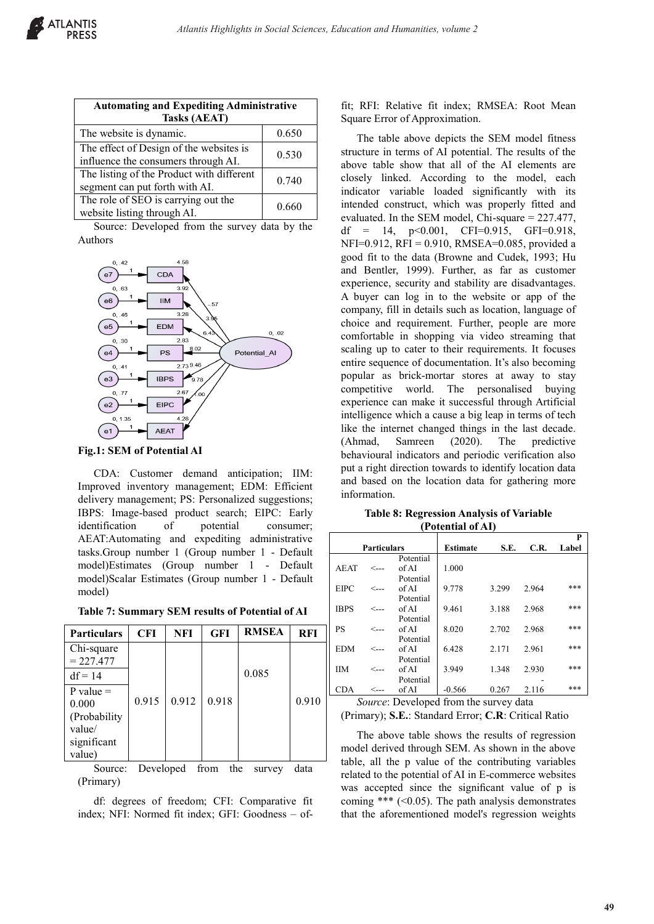| <b>Automating and Expediting Administrative</b><br><b>Tasks (AEAT)</b>         |       |  |  |
|--------------------------------------------------------------------------------|-------|--|--|
| The website is dynamic.                                                        | 0.650 |  |  |
| The effect of Design of the websites is<br>influence the consumers through AI. | 0.530 |  |  |
| The listing of the Product with different<br>segment can put forth with AI.    | 0.740 |  |  |
| The role of SEO is carrying out the<br>website listing through AI.             | 0.660 |  |  |

Source: Developed from the survey data by the Authors



**Fig.1: SEM of Potential AI**

CDA: Customer demand anticipation; IIM: Improved inventory management; EDM: Efficient delivery management; PS: Personalized suggestions; IBPS: Image-based product search; EIPC: Early identification of potential consumer; AEAT:Automating and expediting administrative tasks.Group number 1 (Group number 1 - Default model)Estimates (Group number 1 - Default model)Scalar Estimates (Group number 1 - Default model)

**Table 7: Summary SEM results of Potential of AI**

| <b>Particulars</b>                                                         | <b>CFI</b> | NFI   | <b>GFI</b> | <b>RMSEA</b> | <b>RFI</b> |
|----------------------------------------------------------------------------|------------|-------|------------|--------------|------------|
| Chi-square<br>$= 227.477$                                                  |            |       |            |              |            |
| $df = 14$                                                                  |            |       |            | 0.085        |            |
| $P$ value $=$<br>0.000<br>(Probability)<br>value/<br>significant<br>value) | 0.915      | 0.912 | 0.918      |              | 0.910      |

Source: Developed from the survey data (Primary)

df: degrees of freedom; CFI: Comparative fit index; NFI: Normed fit index; GFI: Goodness – offit; RFI: Relative fit index; RMSEA: Root Mean Square Error of Approximation.

The table above depicts the SEM model fitness structure in terms of AI potential. The results of the above table show that all of the AI elements are closely linked. According to the model, each indicator variable loaded significantly with its intended construct, which was properly fitted and evaluated. In the SEM model, Chi-square = 227.477, df = 14,  $p<0.001$ , CFI=0.915, GFI=0.918, NFI=0.912, RFI = 0.910, RMSEA=0.085, provided a good fit to the data (Browne and Cudek, 1993; Hu and Bentler, 1999). Further, as far as customer experience, security and stability are disadvantages. A buyer can log in to the website or app of the company, fill in details such as location, language of choice and requirement. Further, people are more comfortable in shopping via video streaming that scaling up to cater to their requirements. It focuses entire sequence of documentation. It's also becoming popular as brick-mortar stores at away to stay competitive world. The personalised buying experience can make it successful through Artificial intelligence which a cause a big leap in terms of tech like the internet changed things in the last decade. (Ahmad, Samreen (2020). The predictive behavioural indicators and periodic verification also put a right direction towards to identify location data and based on the location data for gathering more information.

**Table 8: Regression Analysis of Variable (Potential of AI)**

|                    |      |           |                 |       |       | P     |
|--------------------|------|-----------|-----------------|-------|-------|-------|
| <b>Particulars</b> |      |           | <b>Estimate</b> | S.E.  | C.R.  | Label |
|                    |      | Potential |                 |       |       |       |
| <b>AEAT</b>        | <--- | of AI     | 1.000           |       |       |       |
|                    |      | Potential |                 |       |       |       |
| <b>EIPC</b>        | <--- | of AI     | 9.778           | 3.299 | 2.964 | ***   |
|                    |      | Potential |                 |       |       |       |
| <b>IBPS</b>        | <--- | of AI     | 9.461           | 3.188 | 2.968 | ***   |
|                    |      | Potential |                 |       |       |       |
| PS                 | <--- | of AI     | 8.020           | 2.702 | 2.968 | ***   |
|                    |      | Potential |                 |       |       |       |
| <b>EDM</b>         | <…   | of AI     | 6.428           | 2.171 | 2.961 | ***   |
|                    |      | Potential |                 |       |       |       |
| <b>IIM</b>         | <--- | of AI     | 3.949           | 1.348 | 2.930 | ***   |
|                    |      | Potential |                 |       |       |       |
| <b>CDA</b>         | <…   | of AI     | $-0.566$        | 0.267 | 2.116 | ***   |

*Source*: Developed from the survey data

(Primary); **S.E.**: Standard Error; **C.R**: Critical Ratio

The above table shows the results of regression model derived through SEM. As shown in the above table, all the p value of the contributing variables related to the potential of AI in E-commerce websites was accepted since the significant value of p is coming \*\*\*  $( $0.05$ ). The path analysis demonstrates$ that the aforementioned model's regression weights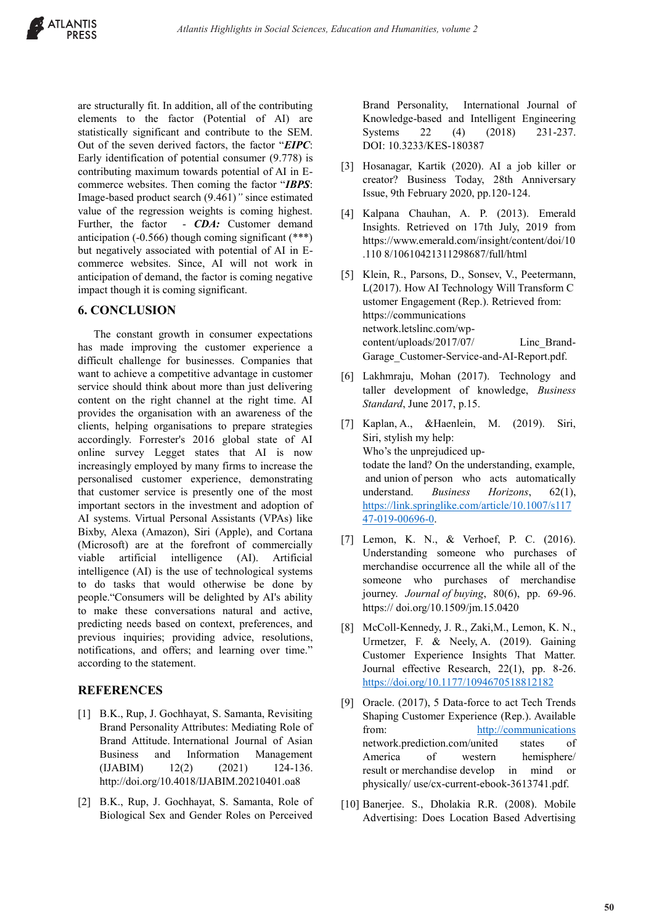are structurally fit. In addition, all of the contributing elements to the factor (Potential of AI) are statistically significant and contribute to the SEM. Out of the seven derived factors, the factor "*EIPC*: Early identification of potential consumer (9.778) is contributing maximum towards potential of AI in Ecommerce websites. Then coming the factor "*IBPS*: Image-based product search (9.461)*"* since estimated value of the regression weights is coming highest. Further, the factor - *CDA*: Customer demand anticipation (-0.566) though coming significant (\*\*\*) but negatively associated with potential of AI in Ecommerce websites. Since, AI will not work in anticipation of demand, the factor is coming negative impact though it is coming significant.

#### **6. CONCLUSION**

The constant growth in consumer expectations has made improving the customer experience a difficult challenge for businesses. Companies that want to achieve a competitive advantage in customer service should think about more than just delivering content on the right channel at the right time. AI provides the organisation with an awareness of the clients, helping organisations to prepare strategies accordingly. Forrester's 2016 global state of AI online survey Legget states that AI is now increasingly employed by many firms to increase the personalised customer experience, demonstrating that customer service is presently one of the most important sectors in the investment and adoption of AI systems. Virtual Personal Assistants (VPAs) like Bixby, Alexa (Amazon), Siri (Apple), and Cortana (Microsoft) are at the forefront of commercially viable artificial intelligence (AI). Artificial intelligence (AI) is the use of technological systems to do tasks that would otherwise be done by people."Consumers will be delighted by AI's ability to make these conversations natural and active, predicting needs based on context, preferences, and previous inquiries; providing advice, resolutions, notifications, and offers; and learning over time." according to the statement.

## **REFERENCES**

- [1] B.K., Rup, J. Gochhayat, S. Samanta, Revisiting Brand Personality Attributes: Mediating Role of Brand Attitude. International Journal of Asian Business and Information Management  $(IJABIM)$  12(2)  $(2021)$  124-136. http://doi.org/10.4018/IJABIM.20210401.oa8
- [2] B.K., Rup, J. Gochhayat, S. Samanta, Role of Biological Sex and Gender Roles on Perceived

Brand Personality, International Journal of Knowledge-based and Intelligent Engineering Systems 22 (4) (2018) 231-237. DOI: 10.3233/KES-180387

- [3] Hosanagar, Kartik (2020). AI a job killer or creator? Business Today, 28th Anniversary Issue, 9th February 2020, pp.120-124.
- [4] Kalpana Chauhan, A. P. (2013). Emerald Insights. Retrieved on 17th July, 2019 from https://www.emerald.com/insight/content/doi/10 .110 8/10610421311298687/full/html
- [5] Klein, R., Parsons, D., Sonsev, V., Peetermann, L(2017). How AI Technology Will Transform C ustomer Engagement (Rep.). Retrieved from: https://communications network.letslinc.com/wpcontent/uploads/2017/07/ Linc\_Brand-Garage\_Customer-Service-and-AI-Report.pdf.
- [6] Lakhmraju, Mohan (2017). Technology and taller development of knowledge, *Business Standard*, June 2017, p.15.
- [7] Kaplan, A., &Haenlein, M. (2019). Siri, Siri, stylish my help: Who's the unprejudiced uptodate the land? On the understanding, example, and union of person who acts automatically understand. *Business Horizons*, 62(1), https://link.springlike.com/article/10.1007/s117 47-019-00696-0.
- [7] Lemon, K. N., & Verhoef, P. C. (2016). Understanding someone who purchases of merchandise occurrence all the while all of the someone who purchases of merchandise journey. *Journal of buying*, 80(6), pp. 69-96. https:// doi.org/10.1509/jm.15.0420
- [8] McColl-Kennedy, J. R., Zaki,M., Lemon, K. N., Urmetzer, F. & Neely, A. (2019). Gaining Customer Experience Insights That Matter. Journal effective Research, 22(1), pp. 8-26. https://doi.org/10.1177/1094670518812182
- [9] Oracle. (2017), 5 Data-force to act Tech Trends Shaping Customer Experience (Rep.). Available from: http://communications network.prediction.com/united states of America of western hemisphere/ result or merchandise develop in mind or physically/ use/cx-current-ebook-3613741.pdf.
- [10] Banerjee. S., Dholakia R.R. (2008). Mobile Advertising: Does Location Based Advertising